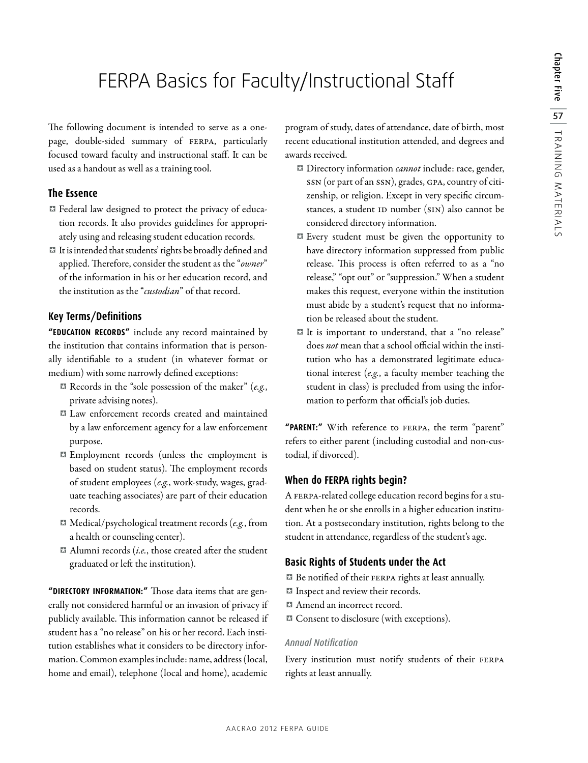# FERPA Basics for Faculty/Instructional Staff

The following document is intended to serve as a onepage, double-sided summary of FERPA, particularly focused toward faculty and instructional staff. It can be used as a handout as well as a training tool.

### **The Essence**

- <sup>X</sup> Federal law designed to protect the privacy of education records. It also provides guidelines for appropriately using and releasing student education records.
- <sup>X</sup> It is intended that students' rights be broadly defined and applied. Therefore, consider the student as the "*owner*" of the information in his or her education record, and the institution as the "*custodian*" of that record.

## **Key Terms/Definitions**

**"EDUCATION RECORDS"** include any record maintained by the institution that contains information that is personally identifiable to a student (in whatever format or medium) with some narrowly defined exceptions:

- <sup>X</sup> Records in the "sole possession of the maker" (*e.g.*, private advising notes).
- <sup>X</sup> Law enforcement records created and maintained by a law enforcement agency for a law enforcement purpose.
- <sup>X</sup> Employment records (unless the employment is based on student status). The employment records of student employees (*e.g.*, work-study, wages, graduate teaching associates) are part of their education records.
- <sup>X</sup> Medical/psychological treatment records (*e.g.*, from a health or counseling center).
- <sup>X</sup> Alumni records (*i.e.*, those created after the student graduated or left the institution).

**"DIRECTORY INFORMATION:"** Those data items that are generally not considered harmful or an invasion of privacy if publicly available. This information cannot be released if student has a "no release" on his or her record. Each institution establishes what it considers to be directory information. Common examples include: name, address (local, home and email), telephone (local and home), academic

program of study, dates of attendance, date of birth, most recent educational institution attended, and degrees and awards received.

- <sup>X</sup> Directory information *cannot* include: race, gender, SSN (or part of an SSN), grades, GPA, country of citizenship, or religion. Except in very specific circumstances, a student ID number (SIN) also cannot be considered directory information.
- <sup>X</sup> Every student must be given the opportunity to have directory information suppressed from public release. This process is often referred to as a "no release," "opt out" or "suppression." When a student makes this request, everyone within the institution must abide by a student's request that no information be released about the student.
- <sup>X</sup> It is important to understand, that a "no release" does *not* mean that a school official within the institution who has a demonstrated legitimate educational interest (*e.g.*, a faculty member teaching the student in class) is precluded from using the information to perform that official's job duties.

**"PARENT:"** With reference to FERPA, the term "parent" refers to either parent (including custodial and non-custodial, if divorced).

# **When do FERPA rights begin?**

A FERPA-related college education record begins for a student when he or she enrolls in a higher education institution. At a postsecondary institution, rights belong to the student in attendance, regardless of the student's age.

## **Basic Rights of Students under the Act**

<sup>X</sup> Be notified of their FERPA rights at least annually.

- Inspect and review their records.
- **X** Amend an incorrect record.
- **X** Consent to disclosure (with exceptions).

#### *Annual Notification*

Every institution must notify students of their FERPA rights at least annually.